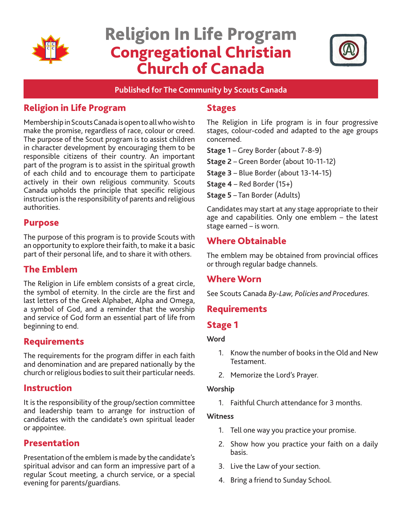

# Religion In Life Program Congregational Christian Church of Canada



**Published for The Community by Scouts Canada**

## Religion in Life Program

Membership in Scouts Canada is open to all who wish to make the promise, regardless of race, colour or creed. The purpose of the Scout program is to assist children in character development by encouraging them to be responsible citizens of their country. An important part of the program is to assist in the spiritual growth of each child and to encourage them to participate actively in their own religious community. Scouts Canada upholds the principle that specific religious instruction is the responsibility of parents and religious authorities.

## Purpose

The purpose of this program is to provide Scouts with an opportunity to explore their faith, to make it a basic part of their personal life, and to share it with others.

## The Emblem

The Religion in Life emblem consists of a great circle, the symbol of eternity. In the circle are the first and last letters of the Greek Alphabet, Alpha and Omega, a symbol of God, and a reminder that the worship and service of God form an essential part of life from beginning to end.

## Requirements

The requirements for the program differ in each faith and denomination and are prepared nationally by the church or religious bodies to suit their particular needs.

## Instruction

It is the responsibility of the group/section committee and leadership team to arrange for instruction of candidates with the candidate's own spiritual leader or appointee.

## Presentation

Presentation of the emblem is made by the candidate's spiritual advisor and can form an impressive part of a regular Scout meeting, a church service, or a special evening for parents/guardians.

### **Stages**

The Religion in Life program is in four progressive stages, colour-coded and adapted to the age groups concerned.

**Stage 1** – Grey Border (about 7-8-9)

**Stage 2** – Green Border (about 10-11-12)

**Stage 3** – Blue Border (about 13-14-15)

**Stage 4** – Red Border (15+)

**Stage 5** – Tan Border (Adults)

Candidates may start at any stage appropriate to their age and capabilities. Only one emblem – the latest stage earned – is worn.

## Where Obtainable

The emblem may be obtained from provincial offices or through regular badge channels.

## Where Worn

See Scouts Canada *By-Law, Policies and Procedures.*

## Requirements

## Stage 1

#### **Word**

- 1. Know the number of books in the Old and New Testament.
- 2. Memorize the Lord's Prayer.

#### **Worship**

1. Faithful Church attendance for 3 months.

#### **Witness**

- 1. Tell one way you practice your promise.
- 2. Show how you practice your faith on a daily basis.
- 3. Live the Law of your section.
- 4. Bring a friend to Sunday School.